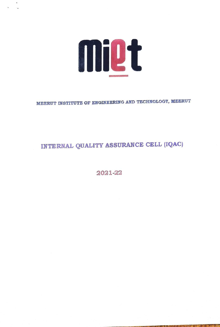

MEERUT INSTITUTE OF ENGINEERING AND TECHNOLOGY, MEERUT

# INTERNAL QUALITY ASSURANCE CELL (IQAC)

2021-22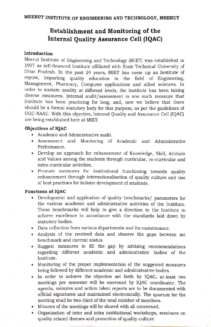# Establishment and Monitoring of the Internal Quality Assurance Cell (IQAC)

#### Introduction

Meerut Institute of Engineering and Technology (MIET) was established in 1997 as self-financed Institute affiliated with State Technical University of Uttar Pradesh. In the past 24 years, MIET has come up as Institute of repute, imparting quality education in the field of Engineering, Management, Pharmacy, Computer applications and allied sciences. In order to sustain quality at different levels, the Institute has been taking diverse measures. Internal audit/assessment is one such measure that Institute has been practicing for long, and, now we believe that there should be a formal statutory body for this purpose, as per the guidelines of UGC-NAAC. With this objective, Internal Quality and Assurance Cell (1QAC) are being established here at MIET.

### Objectives of 1QAC

- Academic and Administrative audit.
- Assessment and Monitoring of Academic and Administrative Performance.
- Develop an approach for enhancement of Knowledge, Skill, Attitude and Values among the students through curricular, co-curricular and extra-curricular activities.
- Promote measures for institutional functioning towards quality enhancement through internationalisation of quality culture and use of best practises for holistic development of students.

#### Functions of 1QAC

- Development and application of quality benchmarks/ parameters for the various academic and administrative activities of the Institute. These benchmarks will help to give a direction to the Institute to achieve excellence in accordance with the standards laid down by statutory bodies.
- Data collection from various departments and its maintenance.
- Analysis of the received data and observe the gaps between set benchmark and current status.
- Suggest measures to fill the gap by advising recommendations regarding different academic and administrative bodies of the Institute.
- Monitoring of the proper implementation of the suggested measures being followed by different academic and administrative bodies.
- In order to achieve the objective set forth by 1QAC, at-least two meetings per semester will be convened by IQAC coordinator. The agenda, minutes and action taken reports are to be documented with official signatures and maintained electronically. The quorum for the meeting shall be two-third of the total number of members.
- Minutes of the meetings will be shared with all concerned.
- Organization of inter and intra institutional workshops, seminars on quality related themes and promotion of quality culture.